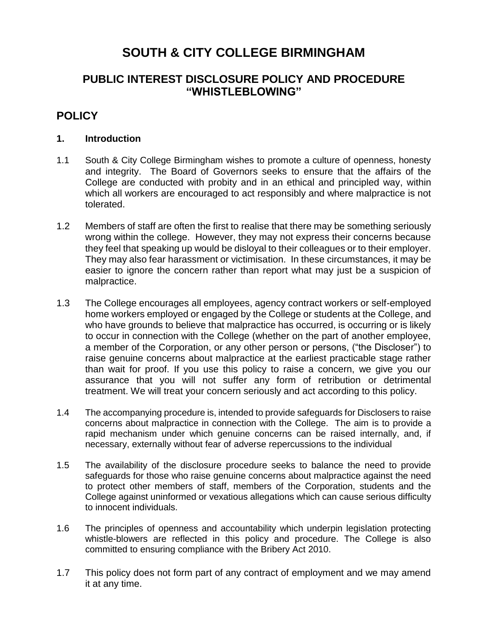# **SOUTH & CITY COLLEGE BIRMINGHAM**

# **PUBLIC INTEREST DISCLOSURE POLICY AND PROCEDURE "WHISTLEBLOWING"**

# **POLICY**

#### **1. Introduction**

- 1.1 South & City College Birmingham wishes to promote a culture of openness, honesty and integrity. The Board of Governors seeks to ensure that the affairs of the College are conducted with probity and in an ethical and principled way, within which all workers are encouraged to act responsibly and where malpractice is not tolerated.
- 1.2 Members of staff are often the first to realise that there may be something seriously wrong within the college. However, they may not express their concerns because they feel that speaking up would be disloyal to their colleagues or to their employer. They may also fear harassment or victimisation. In these circumstances, it may be easier to ignore the concern rather than report what may just be a suspicion of malpractice.
- 1.3 The College encourages all employees, agency contract workers or self-employed home workers employed or engaged by the College or students at the College, and who have grounds to believe that malpractice has occurred, is occurring or is likely to occur in connection with the College (whether on the part of another employee, a member of the Corporation, or any other person or persons, ("the Discloser") to raise genuine concerns about malpractice at the earliest practicable stage rather than wait for proof. If you use this policy to raise a concern, we give you our assurance that you will not suffer any form of retribution or detrimental treatment. We will treat your concern seriously and act according to this policy.
- 1.4 The accompanying procedure is, intended to provide safeguards for Disclosers to raise concerns about malpractice in connection with the College. The aim is to provide a rapid mechanism under which genuine concerns can be raised internally, and, if necessary, externally without fear of adverse repercussions to the individual
- 1.5 The availability of the disclosure procedure seeks to balance the need to provide safeguards for those who raise genuine concerns about malpractice against the need to protect other members of staff, members of the Corporation, students and the College against uninformed or vexatious allegations which can cause serious difficulty to innocent individuals.
- 1.6 The principles of openness and accountability which underpin legislation protecting whistle-blowers are reflected in this policy and procedure. The College is also committed to ensuring compliance with the Bribery Act 2010.
- 1.7 This policy does not form part of any contract of employment and we may amend it at any time.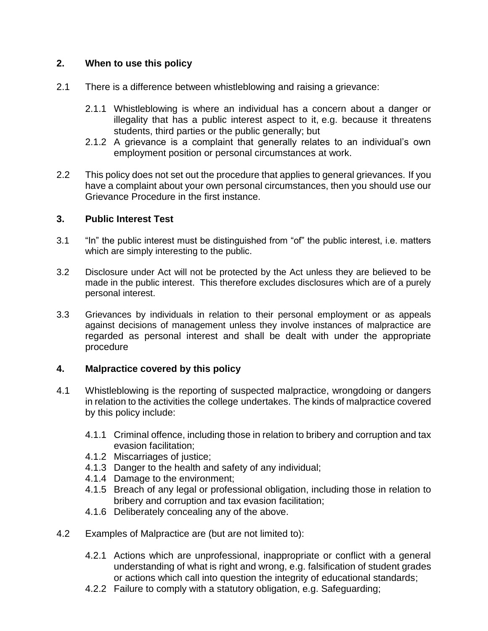## **2. When to use this policy**

- 2.1 There is a difference between whistleblowing and raising a grievance:
	- 2.1.1 Whistleblowing is where an individual has a concern about a danger or illegality that has a public interest aspect to it, e.g. because it threatens students, third parties or the public generally; but
	- 2.1.2 A grievance is a complaint that generally relates to an individual's own employment position or personal circumstances at work.
- 2.2 This policy does not set out the procedure that applies to general grievances. If you have a complaint about your own personal circumstances, then you should use our Grievance Procedure in the first instance.

### **3. Public Interest Test**

- 3.1 "In" the public interest must be distinguished from "of" the public interest, i.e. matters which are simply interesting to the public.
- 3.2 Disclosure under Act will not be protected by the Act unless they are believed to be made in the public interest. This therefore excludes disclosures which are of a purely personal interest.
- 3.3 Grievances by individuals in relation to their personal employment or as appeals against decisions of management unless they involve instances of malpractice are regarded as personal interest and shall be dealt with under the appropriate procedure

#### **4. Malpractice covered by this policy**

- 4.1 Whistleblowing is the reporting of suspected malpractice, wrongdoing or dangers in relation to the activities the college undertakes. The kinds of malpractice covered by this policy include:
	- 4.1.1 Criminal offence, including those in relation to bribery and corruption and tax evasion facilitation;
	- 4.1.2 Miscarriages of justice;
	- 4.1.3 Danger to the health and safety of any individual;
	- 4.1.4 Damage to the environment;
	- 4.1.5 Breach of any legal or professional obligation, including those in relation to bribery and corruption and tax evasion facilitation;
	- 4.1.6 Deliberately concealing any of the above.
- 4.2 Examples of Malpractice are (but are not limited to):
	- 4.2.1 Actions which are unprofessional, inappropriate or conflict with a general understanding of what is right and wrong, e.g. falsification of student grades or actions which call into question the integrity of educational standards;
	- 4.2.2 Failure to comply with a statutory obligation, e.g. Safeguarding;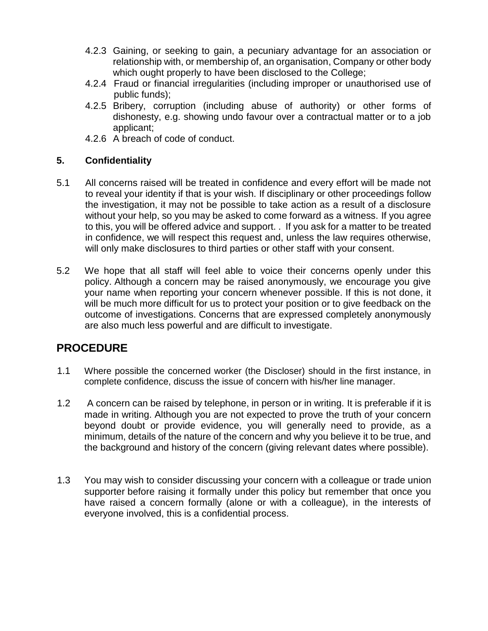- 4.2.3 Gaining, or seeking to gain, a pecuniary advantage for an association or relationship with, or membership of, an organisation, Company or other body which ought properly to have been disclosed to the College;
- 4.2.4 Fraud or financial irregularities (including improper or unauthorised use of public funds);
- 4.2.5 Bribery, corruption (including abuse of authority) or other forms of dishonesty, e.g. showing undo favour over a contractual matter or to a job applicant;
- 4.2.6 A breach of code of conduct.

### **5. Confidentiality**

- 5.1 All concerns raised will be treated in confidence and every effort will be made not to reveal your identity if that is your wish. If disciplinary or other proceedings follow the investigation, it may not be possible to take action as a result of a disclosure without your help, so you may be asked to come forward as a witness. If you agree to this, you will be offered advice and support. . If you ask for a matter to be treated in confidence, we will respect this request and, unless the law requires otherwise, will only make disclosures to third parties or other staff with your consent.
- 5.2 We hope that all staff will feel able to voice their concerns openly under this policy. Although a concern may be raised anonymously, we encourage you give your name when reporting your concern whenever possible. If this is not done, it will be much more difficult for us to protect your position or to give feedback on the outcome of investigations. Concerns that are expressed completely anonymously are also much less powerful and are difficult to investigate.

# **PROCEDURE**

- 1.1 Where possible the concerned worker (the Discloser) should in the first instance, in complete confidence, discuss the issue of concern with his/her line manager.
- 1.2 A concern can be raised by telephone, in person or in writing. It is preferable if it is made in writing. Although you are not expected to prove the truth of your concern beyond doubt or provide evidence, you will generally need to provide, as a minimum, details of the nature of the concern and why you believe it to be true, and the background and history of the concern (giving relevant dates where possible).
- 1.3 You may wish to consider discussing your concern with a colleague or trade union supporter before raising it formally under this policy but remember that once you have raised a concern formally (alone or with a colleague), in the interests of everyone involved, this is a confidential process.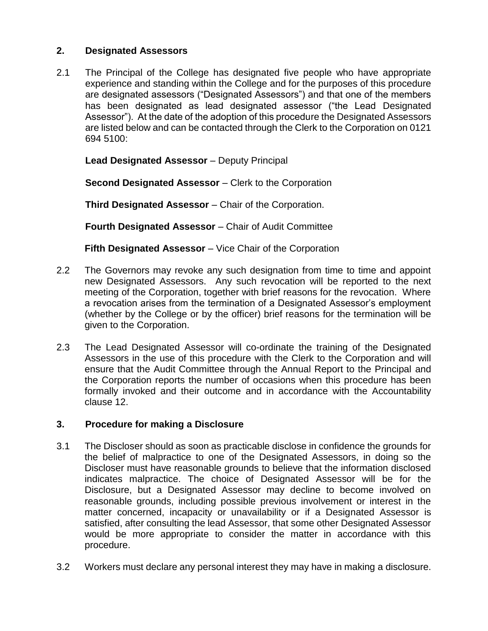# **2. Designated Assessors**

2.1 The Principal of the College has designated five people who have appropriate experience and standing within the College and for the purposes of this procedure are designated assessors ("Designated Assessors") and that one of the members has been designated as lead designated assessor ("the Lead Designated Assessor"). At the date of the adoption of this procedure the Designated Assessors are listed below and can be contacted through the Clerk to the Corporation on 0121 694 5100:

**Lead Designated Assessor** – Deputy Principal

**Second Designated Assessor** – Clerk to the Corporation

**Third Designated Assessor** – Chair of the Corporation.

**Fourth Designated Assessor** – Chair of Audit Committee

**Fifth Designated Assessor** – Vice Chair of the Corporation

- 2.2 The Governors may revoke any such designation from time to time and appoint new Designated Assessors. Any such revocation will be reported to the next meeting of the Corporation, together with brief reasons for the revocation. Where a revocation arises from the termination of a Designated Assessor's employment (whether by the College or by the officer) brief reasons for the termination will be given to the Corporation.
- 2.3 The Lead Designated Assessor will co-ordinate the training of the Designated Assessors in the use of this procedure with the Clerk to the Corporation and will ensure that the Audit Committee through the Annual Report to the Principal and the Corporation reports the number of occasions when this procedure has been formally invoked and their outcome and in accordance with the Accountability clause 12.

#### **3. Procedure for making a Disclosure**

- 3.1 The Discloser should as soon as practicable disclose in confidence the grounds for the belief of malpractice to one of the Designated Assessors, in doing so the Discloser must have reasonable grounds to believe that the information disclosed indicates malpractice. The choice of Designated Assessor will be for the Disclosure, but a Designated Assessor may decline to become involved on reasonable grounds, including possible previous involvement or interest in the matter concerned, incapacity or unavailability or if a Designated Assessor is satisfied, after consulting the lead Assessor, that some other Designated Assessor would be more appropriate to consider the matter in accordance with this procedure.
- 3.2 Workers must declare any personal interest they may have in making a disclosure.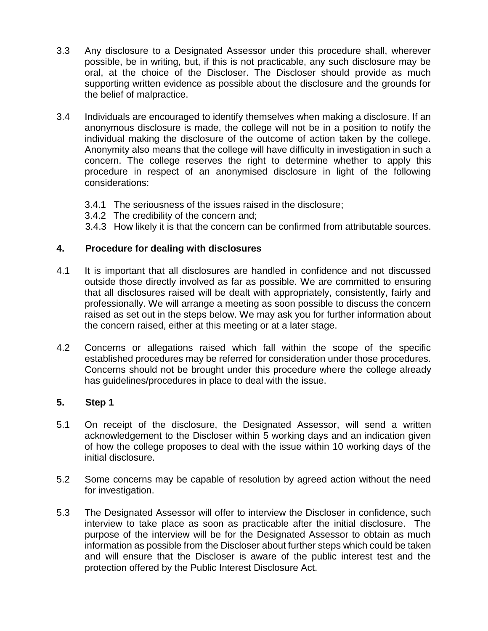- 3.3 Any disclosure to a Designated Assessor under this procedure shall, wherever possible, be in writing, but, if this is not practicable, any such disclosure may be oral, at the choice of the Discloser. The Discloser should provide as much supporting written evidence as possible about the disclosure and the grounds for the belief of malpractice.
- 3.4 Individuals are encouraged to identify themselves when making a disclosure. If an anonymous disclosure is made, the college will not be in a position to notify the individual making the disclosure of the outcome of action taken by the college. Anonymity also means that the college will have difficulty in investigation in such a concern. The college reserves the right to determine whether to apply this procedure in respect of an anonymised disclosure in light of the following considerations:
	- 3.4.1 The seriousness of the issues raised in the disclosure;
	- 3.4.2 The credibility of the concern and;
	- 3.4.3 How likely it is that the concern can be confirmed from attributable sources.

### **4. Procedure for dealing with disclosures**

- 4.1 It is important that all disclosures are handled in confidence and not discussed outside those directly involved as far as possible. We are committed to ensuring that all disclosures raised will be dealt with appropriately, consistently, fairly and professionally. We will arrange a meeting as soon possible to discuss the concern raised as set out in the steps below. We may ask you for further information about the concern raised, either at this meeting or at a later stage.
- 4.2 Concerns or allegations raised which fall within the scope of the specific established procedures may be referred for consideration under those procedures. Concerns should not be brought under this procedure where the college already has guidelines/procedures in place to deal with the issue.

#### **5. Step 1**

- 5.1 On receipt of the disclosure, the Designated Assessor, will send a written acknowledgement to the Discloser within 5 working days and an indication given of how the college proposes to deal with the issue within 10 working days of the initial disclosure.
- 5.2 Some concerns may be capable of resolution by agreed action without the need for investigation.
- 5.3 The Designated Assessor will offer to interview the Discloser in confidence, such interview to take place as soon as practicable after the initial disclosure. The purpose of the interview will be for the Designated Assessor to obtain as much information as possible from the Discloser about further steps which could be taken and will ensure that the Discloser is aware of the public interest test and the protection offered by the Public Interest Disclosure Act.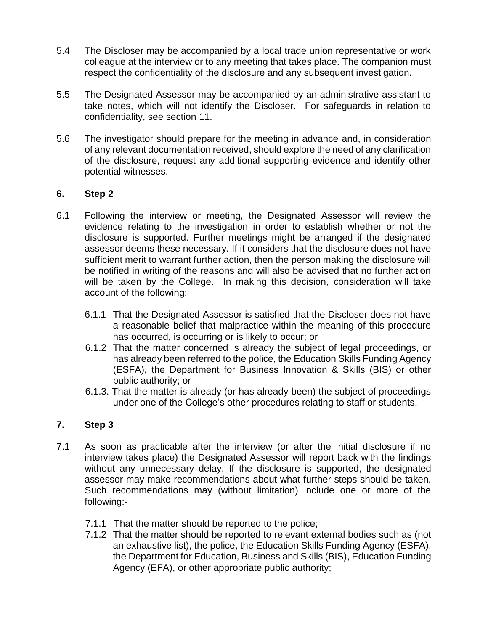- 5.4 The Discloser may be accompanied by a local trade union representative or work colleague at the interview or to any meeting that takes place. The companion must respect the confidentiality of the disclosure and any subsequent investigation.
- 5.5 The Designated Assessor may be accompanied by an administrative assistant to take notes, which will not identify the Discloser. For safeguards in relation to confidentiality, see section 11.
- 5.6 The investigator should prepare for the meeting in advance and, in consideration of any relevant documentation received, should explore the need of any clarification of the disclosure, request any additional supporting evidence and identify other potential witnesses.

### **6. Step 2**

- 6.1 Following the interview or meeting, the Designated Assessor will review the evidence relating to the investigation in order to establish whether or not the disclosure is supported. Further meetings might be arranged if the designated assessor deems these necessary. If it considers that the disclosure does not have sufficient merit to warrant further action, then the person making the disclosure will be notified in writing of the reasons and will also be advised that no further action will be taken by the College. In making this decision, consideration will take account of the following:
	- 6.1.1 That the Designated Assessor is satisfied that the Discloser does not have a reasonable belief that malpractice within the meaning of this procedure has occurred, is occurring or is likely to occur; or
	- 6.1.2 That the matter concerned is already the subject of legal proceedings, or has already been referred to the police, the Education Skills Funding Agency (ESFA), the Department for Business Innovation & Skills (BIS) or other public authority; or
	- 6.1.3. That the matter is already (or has already been) the subject of proceedings under one of the College's other procedures relating to staff or students.

# **7. Step 3**

- 7.1 As soon as practicable after the interview (or after the initial disclosure if no interview takes place) the Designated Assessor will report back with the findings without any unnecessary delay. If the disclosure is supported, the designated assessor may make recommendations about what further steps should be taken. Such recommendations may (without limitation) include one or more of the following:-
	- 7.1.1 That the matter should be reported to the police;
	- 7.1.2 That the matter should be reported to relevant external bodies such as (not an exhaustive list), the police, the Education Skills Funding Agency (ESFA), the Department for Education, Business and Skills (BIS), Education Funding Agency (EFA), or other appropriate public authority;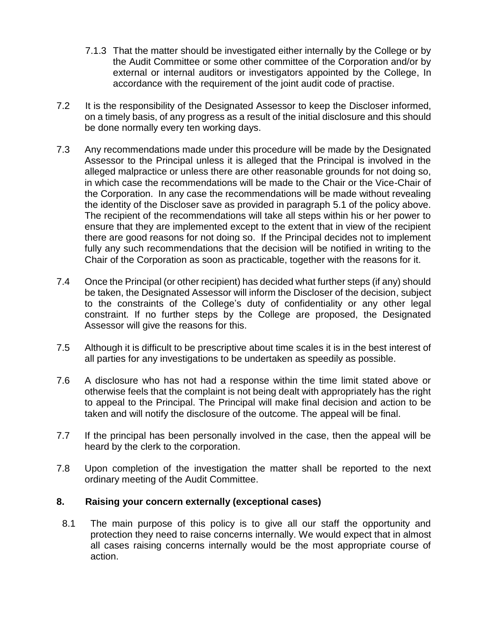- 7.1.3 That the matter should be investigated either internally by the College or by the Audit Committee or some other committee of the Corporation and/or by external or internal auditors or investigators appointed by the College, In accordance with the requirement of the joint audit code of practise.
- 7.2 It is the responsibility of the Designated Assessor to keep the Discloser informed, on a timely basis, of any progress as a result of the initial disclosure and this should be done normally every ten working days.
- 7.3 Any recommendations made under this procedure will be made by the Designated Assessor to the Principal unless it is alleged that the Principal is involved in the alleged malpractice or unless there are other reasonable grounds for not doing so, in which case the recommendations will be made to the Chair or the Vice-Chair of the Corporation. In any case the recommendations will be made without revealing the identity of the Discloser save as provided in paragraph 5.1 of the policy above. The recipient of the recommendations will take all steps within his or her power to ensure that they are implemented except to the extent that in view of the recipient there are good reasons for not doing so. If the Principal decides not to implement fully any such recommendations that the decision will be notified in writing to the Chair of the Corporation as soon as practicable, together with the reasons for it.
- 7.4 Once the Principal (or other recipient) has decided what further steps (if any) should be taken, the Designated Assessor will inform the Discloser of the decision, subject to the constraints of the College's duty of confidentiality or any other legal constraint. If no further steps by the College are proposed, the Designated Assessor will give the reasons for this.
- 7.5 Although it is difficult to be prescriptive about time scales it is in the best interest of all parties for any investigations to be undertaken as speedily as possible.
- 7.6 A disclosure who has not had a response within the time limit stated above or otherwise feels that the complaint is not being dealt with appropriately has the right to appeal to the Principal. The Principal will make final decision and action to be taken and will notify the disclosure of the outcome. The appeal will be final.
- 7.7 If the principal has been personally involved in the case, then the appeal will be heard by the clerk to the corporation.
- 7.8 Upon completion of the investigation the matter shall be reported to the next ordinary meeting of the Audit Committee.

#### **8. Raising your concern externally (exceptional cases)**

8.1 The main purpose of this policy is to give all our staff the opportunity and protection they need to raise concerns internally. We would expect that in almost all cases raising concerns internally would be the most appropriate course of action.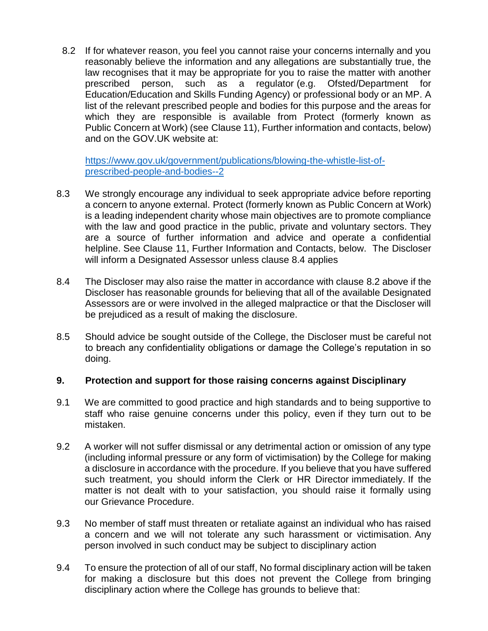8.2 If for whatever reason, you feel you cannot raise your concerns internally and you reasonably believe the information and any allegations are substantially true, the law recognises that it may be appropriate for you to raise the matter with another prescribed person, such as a regulator (e.g. Ofsted/Department for Education/Education and Skills Funding Agency) or professional body or an MP. A list of the relevant prescribed people and bodies for this purpose and the areas for which they are responsible is available from Protect (formerly known as Public Concern at Work) (see Clause 11), Further information and contacts, below) and on the GOV.UK website at:

[https://www.gov.uk/government/publications/blowing-the-whistle-list-of](https://www.gov.uk/government/publications/blowing-the-whistle-list-of-prescribed-people-and-bodies--2)[prescribed-people-and-bodies--2](https://www.gov.uk/government/publications/blowing-the-whistle-list-of-prescribed-people-and-bodies--2)

- 8.3 We strongly encourage any individual to seek appropriate advice before reporting a concern to anyone external. Protect (formerly known as Public Concern at Work) is a leading independent charity whose main objectives are to promote compliance with the law and good practice in the public, private and voluntary sectors. They are a source of further information and advice and operate a confidential helpline. See Clause 11, Further Information and Contacts, below. The Discloser will inform a Designated Assessor unless clause 8.4 applies
- 8.4 The Discloser may also raise the matter in accordance with clause 8.2 above if the Discloser has reasonable grounds for believing that all of the available Designated Assessors are or were involved in the alleged malpractice or that the Discloser will be prejudiced as a result of making the disclosure.
- 8.5 Should advice be sought outside of the College, the Discloser must be careful not to breach any confidentiality obligations or damage the College's reputation in so doing.

#### **9. Protection and support for those raising concerns against Disciplinary**

- 9.1 We are committed to good practice and high standards and to being supportive to staff who raise genuine concerns under this policy, even if they turn out to be mistaken.
- 9.2 A worker will not suffer dismissal or any detrimental action or omission of any type (including informal pressure or any form of victimisation) by the College for making a disclosure in accordance with the procedure. If you believe that you have suffered such treatment, you should inform the Clerk or HR Director immediately. If the matter is not dealt with to your satisfaction, you should raise it formally using our Grievance Procedure.
- 9.3 No member of staff must threaten or retaliate against an individual who has raised a concern and we will not tolerate any such harassment or victimisation. Any person involved in such conduct may be subject to disciplinary action
- 9.4 To ensure the protection of all of our staff, No formal disciplinary action will be taken for making a disclosure but this does not prevent the College from bringing disciplinary action where the College has grounds to believe that: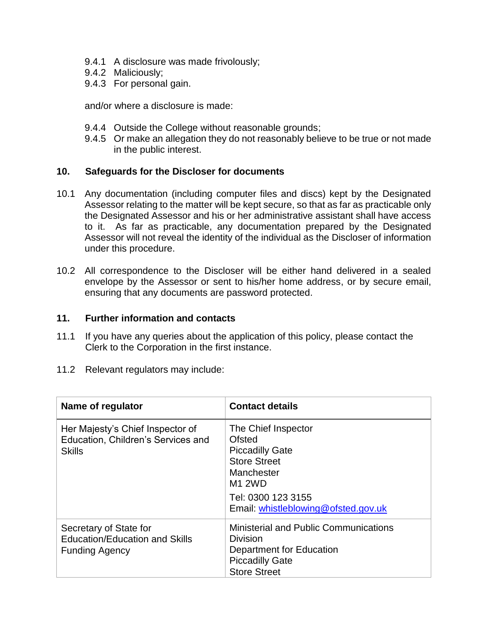- 9.4.1 A disclosure was made frivolously;
- 9.4.2 Maliciously;
- 9.4.3 For personal gain.

and/or where a disclosure is made:

- 9.4.4 Outside the College without reasonable grounds;
- 9.4.5 Or make an allegation they do not reasonably believe to be true or not made in the public interest.

#### **10. Safeguards for the Discloser for documents**

- 10.1 Any documentation (including computer files and discs) kept by the Designated Assessor relating to the matter will be kept secure, so that as far as practicable only the Designated Assessor and his or her administrative assistant shall have access to it. As far as practicable, any documentation prepared by the Designated Assessor will not reveal the identity of the individual as the Discloser of information under this procedure.
- 10.2 All correspondence to the Discloser will be either hand delivered in a sealed envelope by the Assessor or sent to his/her home address, or by secure email, ensuring that any documents are password protected.

#### **11. Further information and contacts**

- 11.1 If you have any queries about the application of this policy, please contact the Clerk to the Corporation in the first instance.
- 11.2 Relevant regulators may include:

| Name of regulator                                                                        | <b>Contact details</b>                                                                                                                                                     |
|------------------------------------------------------------------------------------------|----------------------------------------------------------------------------------------------------------------------------------------------------------------------------|
| Her Majesty's Chief Inspector of<br>Education, Children's Services and<br><b>Skills</b>  | The Chief Inspector<br>Ofsted<br><b>Piccadilly Gate</b><br><b>Store Street</b><br>Manchester<br><b>M1 2WD</b><br>Tel: 0300 123 3155<br>Email: whistleblowing@ofsted.gov.uk |
| Secretary of State for<br><b>Education/Education and Skills</b><br><b>Funding Agency</b> | <b>Ministerial and Public Communications</b><br>Division<br>Department for Education<br><b>Piccadilly Gate</b><br><b>Store Street</b>                                      |